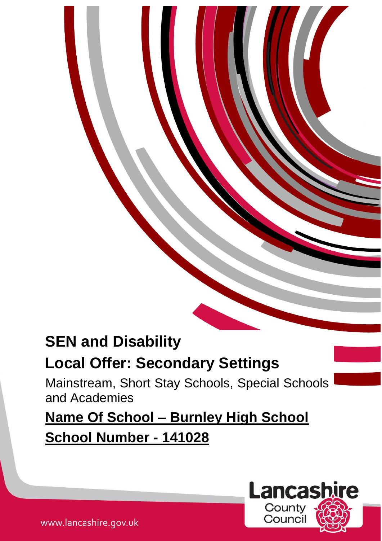# **SEN and Disability**

# **Local Offer: Secondary Settings**

Mainstream, Short Stay Schools, Special Schools and Academies

**Name Of School – Burnley High School School Number - 141028** 



www.lancashire.gov.uk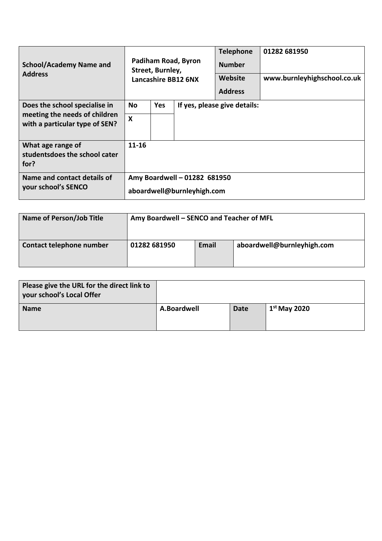| <b>School/Academy Name and</b><br><b>Address</b>                                                 | Padiham Road, Byron<br>Street, Burnley,<br>Lancashire BB12 6NX |            |                              | <b>Telephone</b><br><b>Number</b><br>Website<br><b>Address</b> | 01282 681950<br>www.burnleyhighschool.co.uk |  |
|--------------------------------------------------------------------------------------------------|----------------------------------------------------------------|------------|------------------------------|----------------------------------------------------------------|---------------------------------------------|--|
| Does the school specialise in<br>meeting the needs of children<br>with a particular type of SEN? | <b>No</b>                                                      | <b>Yes</b> | If yes, please give details: |                                                                |                                             |  |
|                                                                                                  | $\boldsymbol{\mathsf{X}}$                                      |            |                              |                                                                |                                             |  |
| What age range of<br>studentsdoes the school cater                                               | $11 - 16$                                                      |            |                              |                                                                |                                             |  |
| for?                                                                                             |                                                                |            |                              |                                                                |                                             |  |
| Name and contact details of<br>your school's SENCO                                               | Amy Boardwell - 01282 681950                                   |            |                              |                                                                |                                             |  |
|                                                                                                  | aboardwell@burnleyhigh.com                                     |            |                              |                                                                |                                             |  |

| Name of Person/Job Title | Amy Boardwell – SENCO and Teacher of MFL |       |                            |  |  |
|--------------------------|------------------------------------------|-------|----------------------------|--|--|
| Contact telephone number | 01282 681950                             | Email | aboardwell@burnleyhigh.com |  |  |

| Please give the URL for the direct link to<br>your school's Local Offer |             |             |                |
|-------------------------------------------------------------------------|-------------|-------------|----------------|
| <b>Name</b>                                                             | A.Boardwell | <b>Date</b> | $1st$ May 2020 |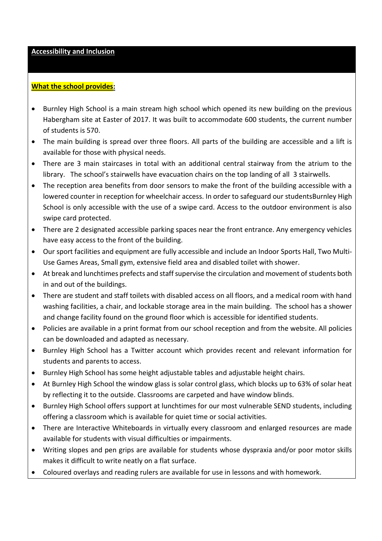#### **Accessibility and Inclusion**

- Burnley High School is a main stream high school which opened its new building on the previous Habergham site at Easter of 2017. It was built to accommodate 600 students, the current number of students is 570.
- The main building is spread over three floors. All parts of the building are accessible and a lift is available for those with physical needs.
- There are 3 main staircases in total with an additional central stairway from the atrium to the library. The school's stairwells have evacuation chairs on the top landing of all 3 stairwells.
- The reception area benefits from door sensors to make the front of the building accessible with a lowered counter in reception for wheelchair access. In order to safeguard our studentsBurnley High School is only accessible with the use of a swipe card. Access to the outdoor environment is also swipe card protected.
- There are 2 designated accessible parking spaces near the front entrance. Any emergency vehicles have easy access to the front of the building.
- Our sport facilities and equipment are fully accessible and include an Indoor Sports Hall, Two Multi-Use Games Areas, Small gym, extensive field area and disabled toilet with shower.
- At break and lunchtimes prefects and staff supervise the circulation and movement of students both in and out of the buildings.
- There are student and staff toilets with disabled access on all floors, and a medical room with hand washing facilities, a chair, and lockable storage area in the main building. The school has a shower and change facility found on the ground floor which is accessible for identified students.
- Policies are available in a print format from our school reception and from the website. All policies can be downloaded and adapted as necessary.
- Burnley High School has a Twitter account which provides recent and relevant information for students and parents to access.
- Burnley High School has some height adjustable tables and adjustable height chairs.
- At Burnley High School the window glass is solar control glass, which blocks up to 63% of solar heat by reflecting it to the outside. Classrooms are carpeted and have window blinds.
- Burnley High School offers support at lunchtimes for our most vulnerable SEND students, including offering a classroom which is available for quiet time or social activities.
- There are Interactive Whiteboards in virtually every classroom and enlarged resources are made available for students with visual difficulties or impairments.
- Writing slopes and pen grips are available for students whose dyspraxia and/or poor motor skills makes it difficult to write neatly on a flat surface.
- Coloured overlays and reading rulers are available for use in lessons and with homework.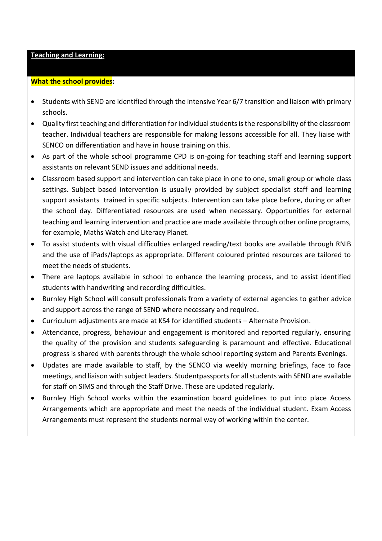#### **Teaching and Learning:**

- Students with SEND are identified through the intensive Year 6/7 transition and liaison with primary schools.
- Quality first teaching and differentiation for individual students is the responsibility of the classroom teacher. Individual teachers are responsible for making lessons accessible for all. They liaise with SENCO on differentiation and have in house training on this.
- As part of the whole school programme CPD is on-going for teaching staff and learning support assistants on relevant SEND issues and additional needs.
- Classroom based support and intervention can take place in one to one, small group or whole class settings. Subject based intervention is usually provided by subject specialist staff and learning support assistants trained in specific subjects. Intervention can take place before, during or after the school day. Differentiated resources are used when necessary. Opportunities for external teaching and learning intervention and practice are made available through other online programs, for example, Maths Watch and Literacy Planet.
- To assist students with visual difficulties enlarged reading/text books are available through RNIB and the use of iPads/laptops as appropriate. Different coloured printed resources are tailored to meet the needs of students.
- There are laptops available in school to enhance the learning process, and to assist identified students with handwriting and recording difficulties.
- Burnley High School will consult professionals from a variety of external agencies to gather advice and support across the range of SEND where necessary and required.
- Curriculum adjustments are made at KS4 for identified students Alternate Provision.
- Attendance, progress, behaviour and engagement is monitored and reported regularly, ensuring the quality of the provision and students safeguarding is paramount and effective. Educational progress is shared with parents through the whole school reporting system and Parents Evenings.
- Updates are made available to staff, by the SENCO via weekly morning briefings, face to face meetings, and liaison with subject leaders. Studentpassports for all students with SEND are available for staff on SIMS and through the Staff Drive. These are updated regularly.
- Burnley High School works within the examination board guidelines to put into place Access Arrangements which are appropriate and meet the needs of the individual student. Exam Access Arrangements must represent the students normal way of working within the center.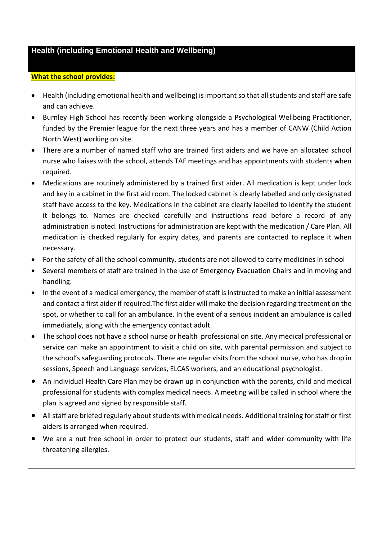## **Health (including Emotional Health and Wellbeing)**

- Health (including emotional health and wellbeing) is important so that all students and staff are safe and can achieve.
- Burnley High School has recently been working alongside a Psychological Wellbeing Practitioner, funded by the Premier league for the next three years and has a member of CANW (Child Action North West) working on site.
- There are a number of named staff who are trained first aiders and we have an allocated school nurse who liaises with the school, attends TAF meetings and has appointments with students when required.
- Medications are routinely administered by a trained first aider. All medication is kept under lock and key in a cabinet in the first aid room. The locked cabinet is clearly labelled and only designated staff have access to the key. Medications in the cabinet are clearly labelled to identify the student it belongs to. Names are checked carefully and instructions read before a record of any administration is noted. Instructions for administration are kept with the medication / Care Plan. All medication is checked regularly for expiry dates, and parents are contacted to replace it when necessary.
- For the safety of all the school community, students are not allowed to carry medicines in school
- Several members of staff are trained in the use of Emergency Evacuation Chairs and in moving and handling.
- In the event of a medical emergency, the member of staff is instructed to make an initial assessment and contact a first aider if required.The first aider will make the decision regarding treatment on the spot, or whether to call for an ambulance. In the event of a serious incident an ambulance is called immediately, along with the emergency contact adult.
- The school does not have a school nurse or health professional on site. Any medical professional or service can make an appointment to visit a child on site, with parental permission and subject to the school's safeguarding protocols. There are regular visits from the school nurse, who has drop in sessions, Speech and Language services, ELCAS workers, and an educational psychologist.
- An Individual Health Care Plan may be drawn up in conjunction with the parents, child and medical professional for students with complex medical needs. A meeting will be called in school where the plan is agreed and signed by responsible staff.
- All staff are briefed regularly about students with medical needs. Additional training for staff or first aiders is arranged when required.
- We are a nut free school in order to protect our students, staff and wider community with life threatening allergies.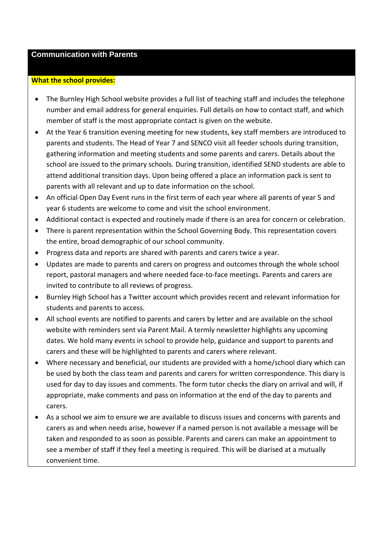## **Communication with Parents**

- The Burnley High School website provides a full list of teaching staff and includes the telephone number and email address for general enquiries. Full details on how to contact staff, and which member of staff is the most appropriate contact is given on the website.
- At the Year 6 transition evening meeting for new students, key staff members are introduced to parents and students. The Head of Year 7 and SENCO visit all feeder schools during transition, gathering information and meeting students and some parents and carers. Details about the school are issued to the primary schools. During transition, identified SEND students are able to attend additional transition days. Upon being offered a place an information pack is sent to parents with all relevant and up to date information on the school.
- An official Open Day Event runs in the first term of each year where all parents of year 5 and year 6 students are welcome to come and visit the school environment.
- Additional contact is expected and routinely made if there is an area for concern or celebration.
- There is parent representation within the School Governing Body. This representation covers the entire, broad demographic of our school community.
- Progress data and reports are shared with parents and carers twice a year.
- Updates are made to parents and carers on progress and outcomes through the whole school report, pastoral managers and where needed face-to-face meetings. Parents and carers are invited to contribute to all reviews of progress.
- Burnley High School has a Twitter account which provides recent and relevant information for students and parents to access.
- All school events are notified to parents and carers by letter and are available on the school website with reminders sent via Parent Mail. A termly newsletter highlights any upcoming dates. We hold many events in school to provide help, guidance and support to parents and carers and these will be highlighted to parents and carers where relevant.
- Where necessary and beneficial, our students are provided with a home/school diary which can be used by both the class team and parents and carers for written correspondence. This diary is used for day to day issues and comments. The form tutor checks the diary on arrival and will, if appropriate, make comments and pass on information at the end of the day to parents and carers.
- As a school we aim to ensure we are available to discuss issues and concerns with parents and carers as and when needs arise, however if a named person is not available a message will be taken and responded to as soon as possible. Parents and carers can make an appointment to see a member of staff if they feel a meeting is required. This will be diarised at a mutually convenient time.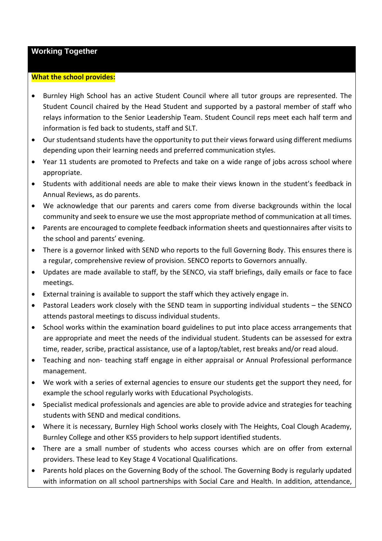## **Working Together**

- Burnley High School has an active Student Council where all tutor groups are represented. The Student Council chaired by the Head Student and supported by a pastoral member of staff who relays information to the Senior Leadership Team. Student Council reps meet each half term and information is fed back to students, staff and SLT.
- Our studentsand students have the opportunity to put their views forward using different mediums depending upon their learning needs and preferred communication styles.
- Year 11 students are promoted to Prefects and take on a wide range of jobs across school where appropriate.
- Students with additional needs are able to make their views known in the student's feedback in Annual Reviews, as do parents.
- We acknowledge that our parents and carers come from diverse backgrounds within the local community and seek to ensure we use the most appropriate method of communication at all times.
- Parents are encouraged to complete feedback information sheets and questionnaires after visits to the school and parents' evening.
- There is a governor linked with SEND who reports to the full Governing Body. This ensures there is a regular, comprehensive review of provision. SENCO reports to Governors annually.
- Updates are made available to staff, by the SENCO, via staff briefings, daily emails or face to face meetings.
- External training is available to support the staff which they actively engage in.
- Pastoral Leaders work closely with the SEND team in supporting individual students the SENCO attends pastoral meetings to discuss individual students.
- School works within the examination board guidelines to put into place access arrangements that are appropriate and meet the needs of the individual student. Students can be assessed for extra time, reader, scribe, practical assistance, use of a laptop/tablet, rest breaks and/or read aloud.
- Teaching and non- teaching staff engage in either appraisal or Annual Professional performance management.
- We work with a series of external agencies to ensure our students get the support they need, for example the school regularly works with Educational Psychologists.
- Specialist medical professionals and agencies are able to provide advice and strategies for teaching students with SEND and medical conditions.
- Where it is necessary, Burnley High School works closely with The Heights, Coal Clough Academy, Burnley College and other KS5 providers to help support identified students.
- There are a small number of students who access courses which are on offer from external providers. These lead to Key Stage 4 Vocational Qualifications.
- Parents hold places on the Governing Body of the school. The Governing Body is regularly updated with information on all school partnerships with Social Care and Health. In addition, attendance,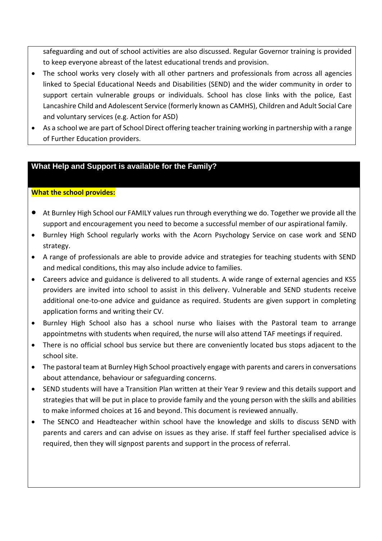safeguarding and out of school activities are also discussed. Regular Governor training is provided to keep everyone abreast of the latest educational trends and provision.

- The school works very closely with all other partners and professionals from across all agencies linked to Special Educational Needs and Disabilities (SEND) and the wider community in order to support certain vulnerable groups or individuals. School has close links with the police, East Lancashire Child and Adolescent Service (formerly known as CAMHS), Children and Adult Social Care and voluntary services (e.g. Action for ASD)
- As a school we are part of School Direct offering teacher training working in partnership with a range of Further Education providers.

## **What Help and Support is available for the Family?**

- At Burnley High School our FAMILY values run through everything we do. Together we provide all the support and encouragement you need to become a successful member of our aspirational family.
- Burnley High School regularly works with the Acorn Psychology Service on case work and SEND strategy.
- A range of professionals are able to provide advice and strategies for teaching students with SEND and medical conditions, this may also include advice to families.
- Careers advice and guidance is delivered to all students. A wide range of external agencies and KS5 providers are invited into school to assist in this delivery. Vulnerable and SEND students receive additional one-to-one advice and guidance as required. Students are given support in completing application forms and writing their CV.
- Burnley High School also has a school nurse who liaises with the Pastoral team to arrange appointmetns with students when required, the nurse will also attend TAF meetings if required.
- There is no official school bus service but there are conveniently located bus stops adjacent to the school site.
- The pastoral team at Burnley High School proactively engage with parents and carers in conversations about attendance, behaviour or safeguarding concerns.
- SEND students will have a Transition Plan written at their Year 9 review and this details support and strategies that will be put in place to provide family and the young person with the skills and abilities to make informed choices at 16 and beyond. This document is reviewed annually.
- The SENCO and Headteacher within school have the knowledge and skills to discuss SEND with parents and carers and can advise on issues as they arise. If staff feel further specialised advice is required, then they will signpost parents and support in the process of referral.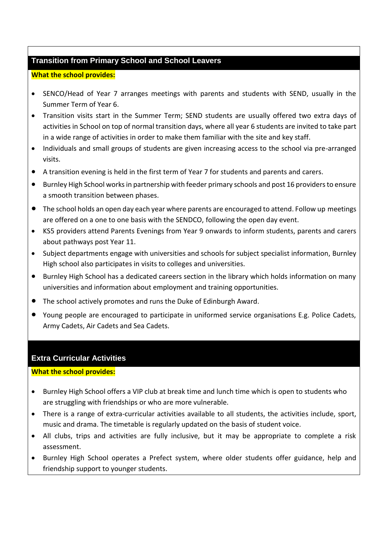## **Transition from Primary School and School Leavers**

#### **What the school provides:**

- SENCO/Head of Year 7 arranges meetings with parents and students with SEND, usually in the Summer Term of Year 6.
- Transition visits start in the Summer Term; SEND students are usually offered two extra days of activities in School on top of normal transition days, where all year 6 students are invited to take part in a wide range of activities in order to make them familiar with the site and key staff.
- Individuals and small groups of students are given increasing access to the school via pre-arranged visits.
- A transition evening is held in the first term of Year 7 for students and parents and carers.
- Burnley High School works in partnership with feeder primary schools and post 16 providers to ensure a smooth transition between phases.
- The school holds an open day each year where parents are encouraged to attend. Follow up meetings are offered on a one to one basis with the SENDCO, following the open day event.
- KS5 providers attend Parents Evenings from Year 9 onwards to inform students, parents and carers about pathways post Year 11.
- Subject departments engage with universities and schools for subject specialist information, Burnley High school also participates in visits to colleges and universities.
- Burnley High School has a dedicated careers section in the library which holds information on many universities and information about employment and training opportunities.
- The school actively promotes and runs the Duke of Edinburgh Award.
- Young people are encouraged to participate in uniformed service organisations E.g. Police Cadets, Army Cadets, Air Cadets and Sea Cadets.

## **Extra Curricular Activities**

- Burnley High School offers a VIP club at break time and lunch time which is open to students who are struggling with friendships or who are more vulnerable.
- There is a range of extra-curricular activities available to all students, the activities include, sport, music and drama. The timetable is regularly updated on the basis of student voice.
- All clubs, trips and activities are fully inclusive, but it may be appropriate to complete a risk assessment.
- Burnley High School operates a Prefect system, where older students offer guidance, help and friendship support to younger students.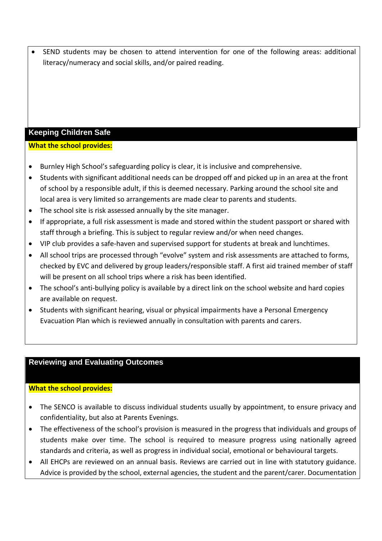SEND students may be chosen to attend intervention for one of the following areas: additional literacy/numeracy and social skills, and/or paired reading.

## **Keeping Children Safe**

## **What the school provides:**

- Burnley High School's safeguarding policy is clear, it is inclusive and comprehensive.
- Students with significant additional needs can be dropped off and picked up in an area at the front of school by a responsible adult, if this is deemed necessary. Parking around the school site and local area is very limited so arrangements are made clear to parents and students.
- The school site is risk assessed annually by the site manager.
- If appropriate, a full risk assessment is made and stored within the student passport or shared with staff through a briefing. This is subject to regular review and/or when need changes.
- VIP club provides a safe-haven and supervised support for students at break and lunchtimes.
- All school trips are processed through "evolve" system and risk assessments are attached to forms, checked by EVC and delivered by group leaders/responsible staff. A first aid trained member of staff will be present on all school trips where a risk has been identified.
- The school's anti-bullying policy is available by a direct link on the school website and hard copies are available on request.
- Students with significant hearing, visual or physical impairments have a Personal Emergency Evacuation Plan which is reviewed annually in consultation with parents and carers.

## **Reviewing and Evaluating Outcomes**

- The SENCO is available to discuss individual students usually by appointment, to ensure privacy and confidentiality, but also at Parents Evenings.
- The effectiveness of the school's provision is measured in the progress that individuals and groups of students make over time. The school is required to measure progress using nationally agreed standards and criteria, as well as progress in individual social, emotional or behavioural targets.
- All EHCPs are reviewed on an annual basis. Reviews are carried out in line with statutory guidance. Advice is provided by the school, external agencies, the student and the parent/carer. Documentation